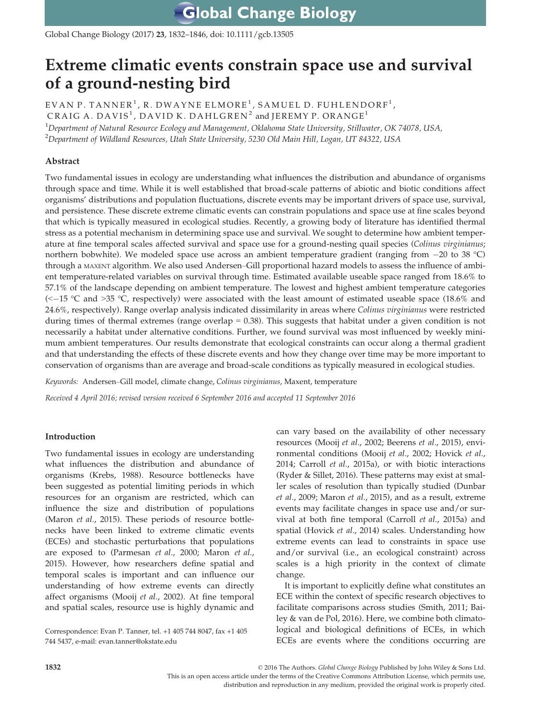**Global Change Biology** 

Global Change Biology (2017) 23, 1832–1846, doi: 10.1111/gcb.13505

# Extreme climatic events constrain space use and survival of a ground-nesting bird

EVAN P. TANNER<sup>1</sup>, R. DWAYNE ELMORE<sup>1</sup>, SAMUEL D. FUHLENDORF<sup>1</sup>, CRAIG A. DAVIS<sup>1</sup>, DAVID K. DAHLGREN<sup>2</sup> and JEREMY P. ORANGE<sup>1</sup>  $^{\rm 1}$ Department of Natural Resource Ecology and Management, Oklahoma State University, Stillwater, OK 74078, USA,  $^2$ Department of Wildland Resources, Utah State University, 5230 Old Main Hill, Logan, UT 84322, USA

# Abstract

Two fundamental issues in ecology are understanding what influences the distribution and abundance of organisms through space and time. While it is well established that broad-scale patterns of abiotic and biotic conditions affect organisms' distributions and population fluctuations, discrete events may be important drivers of space use, survival, and persistence. These discrete extreme climatic events can constrain populations and space use at fine scales beyond that which is typically measured in ecological studies. Recently, a growing body of literature has identified thermal stress as a potential mechanism in determining space use and survival. We sought to determine how ambient temperature at fine temporal scales affected survival and space use for a ground-nesting quail species (Colinus virginianus; northern bobwhite). We modeled space use across an ambient temperature gradient (ranging from  $-20$  to 38 °C) through a MAXENT algorithm. We also used Andersen–Gill proportional hazard models to assess the influence of ambient temperature-related variables on survival through time. Estimated available useable space ranged from 18.6% to 57.1% of the landscape depending on ambient temperature. The lowest and highest ambient temperature categories  $\ll$  -15 °C and >35 °C, respectively) were associated with the least amount of estimated useable space (18.6% and 24.6%, respectively). Range overlap analysis indicated dissimilarity in areas where Colinus virginianus were restricted during times of thermal extremes (range overlap  $= 0.38$ ). This suggests that habitat under a given condition is not necessarily a habitat under alternative conditions. Further, we found survival was most influenced by weekly minimum ambient temperatures. Our results demonstrate that ecological constraints can occur along a thermal gradient and that understanding the effects of these discrete events and how they change over time may be more important to conservation of organisms than are average and broad-scale conditions as typically measured in ecological studies.

Keywords: Andersen–Gill model, climate change, Colinus virginianus, Maxent, temperature

Received 4 April 2016; revised version received 6 September 2016 and accepted 11 September 2016

## Introduction

Two fundamental issues in ecology are understanding what influences the distribution and abundance of organisms (Krebs, 1988). Resource bottlenecks have been suggested as potential limiting periods in which resources for an organism are restricted, which can influence the size and distribution of populations (Maron *et al.*, 2015). These periods of resource bottlenecks have been linked to extreme climatic events (ECEs) and stochastic perturbations that populations are exposed to (Parmesan et al., 2000; Maron et al., 2015). However, how researchers define spatial and temporal scales is important and can influence our understanding of how extreme events can directly affect organisms (Mooij et al., 2002). At fine temporal and spatial scales, resource use is highly dynamic and

Correspondence: Evan P. Tanner, tel. +1 405 744 8047, fax +1 405 744 5437, e-mail: evan.tanner@okstate.edu

can vary based on the availability of other necessary resources (Mooij et al., 2002; Beerens et al., 2015), environmental conditions (Mooij et al., 2002; Hovick et al., 2014; Carroll et al., 2015a), or with biotic interactions (Ryder & Sillet, 2016). These patterns may exist at smaller scales of resolution than typically studied (Dunbar et al., 2009; Maron et al., 2015), and as a result, extreme events may facilitate changes in space use and/or survival at both fine temporal (Carroll et al., 2015a) and spatial (Hovick et al., 2014) scales. Understanding how extreme events can lead to constraints in space use and/or survival (i.e., an ecological constraint) across scales is a high priority in the context of climate change.

It is important to explicitly define what constitutes an ECE within the context of specific research objectives to facilitate comparisons across studies (Smith, 2011; Bailey & van de Pol, 2016). Here, we combine both climatological and biological definitions of ECEs, in which ECEs are events where the conditions occurring are

1832 © 2016 The Authors. Global Change Biology Published by John Wiley & Sons Ltd. This is an open access article under the terms of the [Creative Commons Attribution](http://creativecommons.org/licenses/by/4.0/) License, which permits use, distribution and reproduction in any medium, provided the original work is properly cited.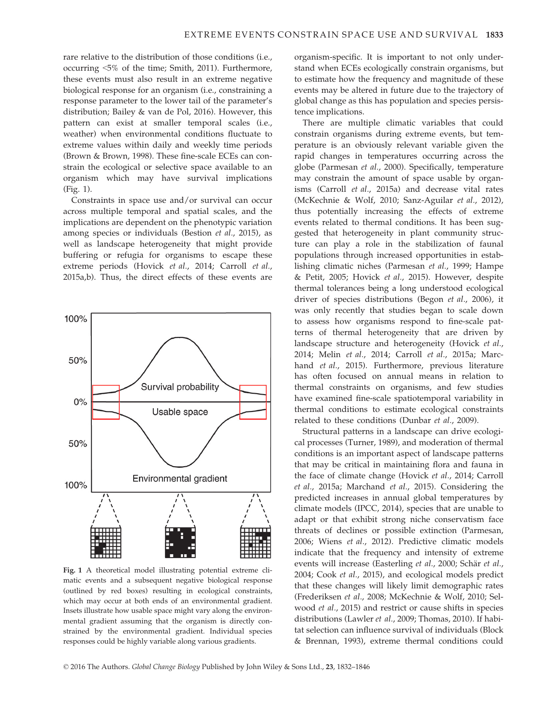rare relative to the distribution of those conditions (i.e., occurring <5% of the time; Smith, 2011). Furthermore, these events must also result in an extreme negative biological response for an organism (i.e., constraining a response parameter to the lower tail of the parameter's distribution; Bailey & van de Pol, 2016). However, this pattern can exist at smaller temporal scales (i.e., weather) when environmental conditions fluctuate to extreme values within daily and weekly time periods (Brown & Brown, 1998). These fine-scale ECEs can constrain the ecological or selective space available to an organism which may have survival implications (Fig. 1).

Constraints in space use and/or survival can occur across multiple temporal and spatial scales, and the implications are dependent on the phenotypic variation among species or individuals (Bestion et al., 2015), as well as landscape heterogeneity that might provide buffering or refugia for organisms to escape these extreme periods (Hovick et al., 2014; Carroll et al., 2015a,b). Thus, the direct effects of these events are



Fig. 1 A theoretical model illustrating potential extreme climatic events and a subsequent negative biological response (outlined by red boxes) resulting in ecological constraints, which may occur at both ends of an environmental gradient. Insets illustrate how usable space might vary along the environmental gradient assuming that the organism is directly constrained by the environmental gradient. Individual species responses could be highly variable along various gradients.

organism-specific. It is important to not only understand when ECEs ecologically constrain organisms, but to estimate how the frequency and magnitude of these events may be altered in future due to the trajectory of global change as this has population and species persistence implications.

There are multiple climatic variables that could constrain organisms during extreme events, but temperature is an obviously relevant variable given the rapid changes in temperatures occurring across the globe (Parmesan et al., 2000). Specifically, temperature may constrain the amount of space usable by organisms (Carroll et al., 2015a) and decrease vital rates (McKechnie & Wolf, 2010; Sanz-Aguilar et al., 2012), thus potentially increasing the effects of extreme events related to thermal conditions. It has been suggested that heterogeneity in plant community structure can play a role in the stabilization of faunal populations through increased opportunities in establishing climatic niches (Parmesan et al., 1999; Hampe & Petit, 2005; Hovick et al., 2015). However, despite thermal tolerances being a long understood ecological driver of species distributions (Begon et al., 2006), it was only recently that studies began to scale down to assess how organisms respond to fine-scale patterns of thermal heterogeneity that are driven by landscape structure and heterogeneity (Hovick et al., 2014; Melin et al., 2014; Carroll et al., 2015a; Marchand et al., 2015). Furthermore, previous literature has often focused on annual means in relation to thermal constraints on organisms, and few studies have examined fine-scale spatiotemporal variability in thermal conditions to estimate ecological constraints related to these conditions (Dunbar et al., 2009).

Structural patterns in a landscape can drive ecological processes (Turner, 1989), and moderation of thermal conditions is an important aspect of landscape patterns that may be critical in maintaining flora and fauna in the face of climate change (Hovick et al., 2014; Carroll et al., 2015a; Marchand et al., 2015). Considering the predicted increases in annual global temperatures by climate models (IPCC, 2014), species that are unable to adapt or that exhibit strong niche conservatism face threats of declines or possible extinction (Parmesan, 2006; Wiens et al., 2012). Predictive climatic models indicate that the frequency and intensity of extreme events will increase (Easterling et al., 2000; Schär et al., 2004; Cook et al., 2015), and ecological models predict that these changes will likely limit demographic rates (Frederiksen et al., 2008; McKechnie & Wolf, 2010; Selwood et al., 2015) and restrict or cause shifts in species distributions (Lawler et al., 2009; Thomas, 2010). If habitat selection can influence survival of individuals (Block & Brennan, 1993), extreme thermal conditions could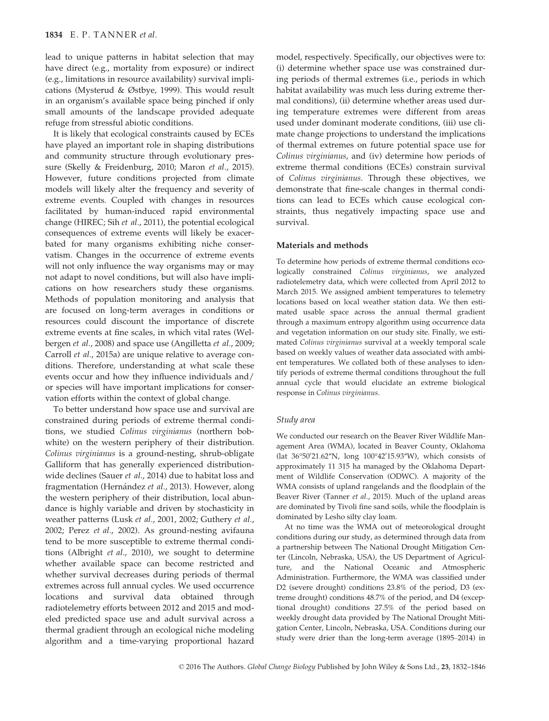lead to unique patterns in habitat selection that may have direct (e.g., mortality from exposure) or indirect (e.g., limitations in resource availability) survival implications (Mysterud & Østbye, 1999). This would result in an organism's available space being pinched if only small amounts of the landscape provided adequate refuge from stressful abiotic conditions.

It is likely that ecological constraints caused by ECEs have played an important role in shaping distributions and community structure through evolutionary pressure (Skelly & Freidenburg, 2010; Maron et al., 2015). However, future conditions projected from climate models will likely alter the frequency and severity of extreme events. Coupled with changes in resources facilitated by human-induced rapid environmental change (HIREC; Sih et al., 2011), the potential ecological consequences of extreme events will likely be exacerbated for many organisms exhibiting niche conservatism. Changes in the occurrence of extreme events will not only influence the way organisms may or may not adapt to novel conditions, but will also have implications on how researchers study these organisms. Methods of population monitoring and analysis that are focused on long-term averages in conditions or resources could discount the importance of discrete extreme events at fine scales, in which vital rates (Welbergen et al., 2008) and space use (Angilletta et al., 2009; Carroll et al., 2015a) are unique relative to average conditions. Therefore, understanding at what scale these events occur and how they influence individuals and/ or species will have important implications for conservation efforts within the context of global change.

To better understand how space use and survival are constrained during periods of extreme thermal conditions, we studied Colinus virginianus (northern bobwhite) on the western periphery of their distribution. Colinus virginianus is a ground-nesting, shrub-obligate Galliform that has generally experienced distributionwide declines (Sauer et al., 2014) due to habitat loss and fragmentation (Hernández et al., 2013). However, along the western periphery of their distribution, local abundance is highly variable and driven by stochasticity in weather patterns (Lusk et al., 2001, 2002; Guthery et al., 2002; Perez et al., 2002). As ground-nesting avifauna tend to be more susceptible to extreme thermal conditions (Albright et al., 2010), we sought to determine whether available space can become restricted and whether survival decreases during periods of thermal extremes across full annual cycles. We used occurrence locations and survival data obtained through radiotelemetry efforts between 2012 and 2015 and modeled predicted space use and adult survival across a thermal gradient through an ecological niche modeling algorithm and a time-varying proportional hazard

model, respectively. Specifically, our objectives were to: (i) determine whether space use was constrained during periods of thermal extremes (i.e., periods in which habitat availability was much less during extreme thermal conditions), (ii) determine whether areas used during temperature extremes were different from areas used under dominant moderate conditions, (iii) use climate change projections to understand the implications of thermal extremes on future potential space use for Colinus virginianus, and (iv) determine how periods of extreme thermal conditions (ECEs) constrain survival of Colinus virginianus. Through these objectives, we demonstrate that fine-scale changes in thermal conditions can lead to ECEs which cause ecological constraints, thus negatively impacting space use and survival.

## Materials and methods

To determine how periods of extreme thermal conditions ecologically constrained Colinus virginianus, we analyzed radiotelemetry data, which were collected from April 2012 to March 2015. We assigned ambient temperatures to telemetry locations based on local weather station data. We then estimated usable space across the annual thermal gradient through a maximum entropy algorithm using occurrence data and vegetation information on our study site. Finally, we estimated Colinus virginianus survival at a weekly temporal scale based on weekly values of weather data associated with ambient temperatures. We collated both of these analyses to identify periods of extreme thermal conditions throughout the full annual cycle that would elucidate an extreme biological response in Colinus virginianus.

#### Study area

We conducted our research on the Beaver River Wildlife Management Area (WMA), located in Beaver County, Oklahoma (lat 36°50'21.62"N, long 100°42'15.93"W), which consists of approximately 11 315 ha managed by the Oklahoma Department of Wildlife Conservation (ODWC). A majority of the WMA consists of upland rangelands and the floodplain of the Beaver River (Tanner et al., 2015). Much of the upland areas are dominated by Tivoli fine sand soils, while the floodplain is dominated by Lesho silty clay loam.

At no time was the WMA out of meteorological drought conditions during our study, as determined through data from a partnership between The National Drought Mitigation Center (Lincoln, Nebraska, USA), the US Department of Agriculture, and the National Oceanic and Atmospheric Administration. Furthermore, the WMA was classified under D2 (severe drought) conditions 23.8% of the period, D3 (extreme drought) conditions 48.7% of the period, and D4 (exceptional drought) conditions 27.5% of the period based on weekly drought data provided by The National Drought Mitigation Center, Lincoln, Nebraska, USA. Conditions during our study were drier than the long-term average (1895–2014) in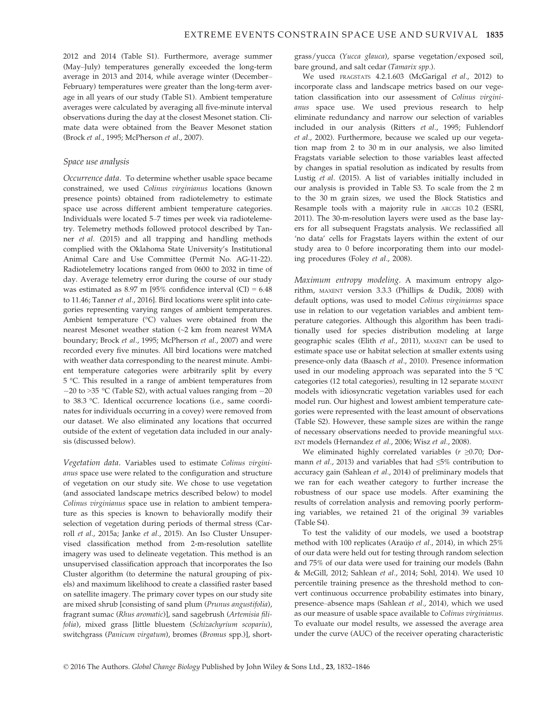2012 and 2014 (Table S1). Furthermore, average summer (May–July) temperatures generally exceeded the long-term average in 2013 and 2014, while average winter (December– February) temperatures were greater than the long-term average in all years of our study (Table S1). Ambient temperature averages were calculated by averaging all five-minute interval observations during the day at the closest Mesonet station. Climate data were obtained from the Beaver Mesonet station (Brock et al., 1995; McPherson et al., 2007).

# Space use analysis

Occurrence data. To determine whether usable space became constrained, we used Colinus virginianus locations (known presence points) obtained from radiotelemetry to estimate space use across different ambient temperature categories. Individuals were located 5–7 times per week via radiotelemetry. Telemetry methods followed protocol described by Tanner et al. (2015) and all trapping and handling methods complied with the Oklahoma State University's Institutional Animal Care and Use Committee (Permit No. AG-11-22). Radiotelemetry locations ranged from 0600 to 2032 in time of day. Average telemetry error during the course of our study was estimated as 8.97 m [95% confidence interval  $(CI) = 6.48$ to 11.46; Tanner et al., 2016]. Bird locations were split into categories representing varying ranges of ambient temperatures. Ambient temperature (°C) values were obtained from the nearest Mesonet weather station (~2 km from nearest WMA boundary; Brock et al., 1995; McPherson et al., 2007) and were recorded every five minutes. All bird locations were matched with weather data corresponding to the nearest minute. Ambient temperature categories were arbitrarily split by every 5 °C. This resulted in a range of ambient temperatures from  $-20$  to  $>35$  °C (Table S2), with actual values ranging from  $-20$ to 38.3 °C. Identical occurrence locations (i.e., same coordinates for individuals occurring in a covey) were removed from our dataset. We also eliminated any locations that occurred outside of the extent of vegetation data included in our analysis (discussed below).

Vegetation data. Variables used to estimate Colinus virginianus space use were related to the configuration and structure of vegetation on our study site. We chose to use vegetation (and associated landscape metrics described below) to model Colinus virginianus space use in relation to ambient temperature as this species is known to behaviorally modify their selection of vegetation during periods of thermal stress (Carroll et al., 2015a; Janke et al., 2015). An Iso Cluster Unsupervised classification method from 2-m-resolution satellite imagery was used to delineate vegetation. This method is an unsupervised classification approach that incorporates the Iso Cluster algorithm (to determine the natural grouping of pixels) and maximum likelihood to create a classified raster based on satellite imagery. The primary cover types on our study site are mixed shrub [consisting of sand plum (Prunus angustifolia), fragrant sumac (Rhus aromatic)], sand sagebrush (Artemisia filifolia), mixed grass [little bluestem (Schizachyrium scopariu), switchgrass (Panicum virgatum), bromes (Bromus spp.)], shortgrass/yucca (Yucca glauca), sparse vegetation/exposed soil, bare ground, and salt cedar (Tamarix spp.).

We used FRAGSTATS 4.2.1.603 (McGarigal et al., 2012) to incorporate class and landscape metrics based on our vegetation classification into our assessment of Colinus virginianus space use. We used previous research to help eliminate redundancy and narrow our selection of variables included in our analysis (Ritters et al., 1995; Fuhlendorf et al., 2002). Furthermore, because we scaled up our vegetation map from 2 to 30 m in our analysis, we also limited Fragstats variable selection to those variables least affected by changes in spatial resolution as indicated by results from Lustig et al. (2015). A list of variables initially included in our analysis is provided in Table S3. To scale from the 2 m to the 30 m grain sizes, we used the Block Statistics and Resample tools with a majority rule in ARCGIS 10.2 (ESRI, 2011). The 30-m-resolution layers were used as the base layers for all subsequent Fragstats analysis. We reclassified all 'no data' cells for Fragstats layers within the extent of our study area to 0 before incorporating them into our modeling procedures (Foley et al., 2008).

Maximum entropy modeling. A maximum entropy algorithm, MAXENT version 3.3.3 (Phillips & Dudik, 2008) with default options, was used to model Colinus virginianus space use in relation to our vegetation variables and ambient temperature categories. Although this algorithm has been traditionally used for species distribution modeling at large geographic scales (Elith et al., 2011), MAXENT can be used to estimate space use or habitat selection at smaller extents using presence-only data (Baasch et al., 2010). Presence information used in our modeling approach was separated into the 5 °C categories (12 total categories), resulting in 12 separate MAXENT models with idiosyncratic vegetation variables used for each model run. Our highest and lowest ambient temperature categories were represented with the least amount of observations (Table S2). However, these sample sizes are within the range of necessary observations needed to provide meaningful MAX-ENT models (Hernandez et al., 2006; Wisz et al., 2008).

We eliminated highly correlated variables ( $r \geq 0.70$ ; Dormann et al., 2013) and variables that had ≤5% contribution to accuracy gain (Sahlean et al., 2014) of preliminary models that we ran for each weather category to further increase the robustness of our space use models. After examining the results of correlation analysis and removing poorly performing variables, we retained 21 of the original 39 variables (Table S4).

To test the validity of our models, we used a bootstrap method with 100 replicates (Araújo et al., 2014), in which 25% of our data were held out for testing through random selection and 75% of our data were used for training our models (Bahn & McGill, 2012; Sahlean et al., 2014; Sohl, 2014). We used 10 percentile training presence as the threshold method to convert continuous occurrence probability estimates into binary, presence–absence maps (Sahlean et al., 2014), which we used as our measure of usable space available to Colinus virginianus. To evaluate our model results, we assessed the average area under the curve (AUC) of the receiver operating characteristic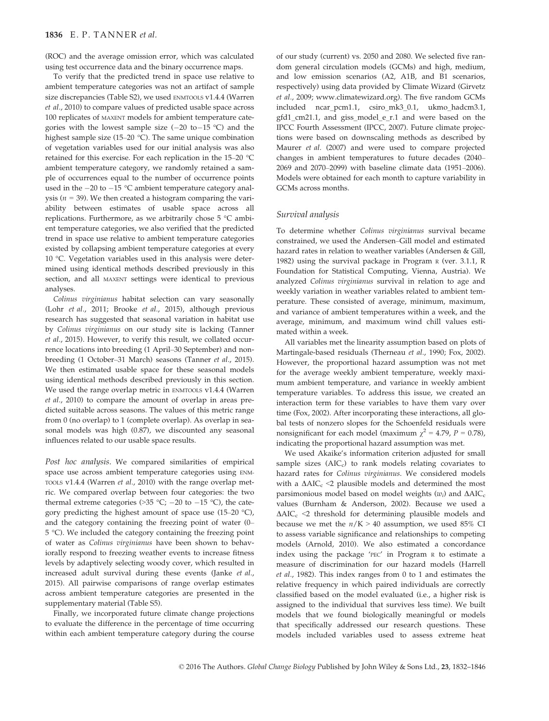(ROC) and the average omission error, which was calculated using test occurrence data and the binary occurrence maps.

To verify that the predicted trend in space use relative to ambient temperature categories was not an artifact of sample size discrepancies (Table S2), we used ENMTOOLS v1.4.4 (Warren et al., 2010) to compare values of predicted usable space across 100 replicates of MAXENT models for ambient temperature categories with the lowest sample size  $(-20 \text{ to } -15 \text{ °C})$  and the highest sample size (15–20 °C). The same unique combination of vegetation variables used for our initial analysis was also retained for this exercise. For each replication in the 15–20 °C ambient temperature category, we randomly retained a sample of occurrences equal to the number of occurrence points used in the  $-20$  to  $-15$  °C ambient temperature category analysis ( $n = 39$ ). We then created a histogram comparing the variability between estimates of usable space across all replications. Furthermore, as we arbitrarily chose 5 °C ambient temperature categories, we also verified that the predicted trend in space use relative to ambient temperature categories existed by collapsing ambient temperature categories at every 10 °C. Vegetation variables used in this analysis were determined using identical methods described previously in this section, and all MAXENT settings were identical to previous analyses.

Colinus virginianus habitat selection can vary seasonally (Lohr et al., 2011; Brooke et al., 2015), although previous research has suggested that seasonal variation in habitat use by Colinus virginianus on our study site is lacking (Tanner et al., 2015). However, to verify this result, we collated occurrence locations into breeding (1 April–30 September) and nonbreeding (1 October–31 March) seasons (Tanner et al., 2015). We then estimated usable space for these seasonal models using identical methods described previously in this section. We used the range overlap metric in ENMTOOLS v1.4.4 (Warren et al., 2010) to compare the amount of overlap in areas predicted suitable across seasons. The values of this metric range from 0 (no overlap) to 1 (complete overlap). As overlap in seasonal models was high (0.87), we discounted any seasonal influences related to our usable space results.

Post hoc analysis. We compared similarities of empirical space use across ambient temperature categories using ENM-TOOLS v1.4.4 (Warren et al., 2010) with the range overlap metric. We compared overlap between four categories: the two thermal extreme categories (>35 °C; -20 to -15 °C), the category predicting the highest amount of space use (15–20 °C), and the category containing the freezing point of water (0– 5 °C). We included the category containing the freezing point of water as Colinus virginianus have been shown to behaviorally respond to freezing weather events to increase fitness levels by adaptively selecting woody cover, which resulted in increased adult survival during these events (Janke et al., 2015). All pairwise comparisons of range overlap estimates across ambient temperature categories are presented in the supplementary material (Table S5).

Finally, we incorporated future climate change projections to evaluate the difference in the percentage of time occurring within each ambient temperature category during the course of our study (current) vs. 2050 and 2080. We selected five random general circulation models (GCMs) and high, medium, and low emission scenarios (A2, A1B, and B1 scenarios, respectively) using data provided by Climate Wizard (Girvetz et al., 2009; [www.climatewizard.org](http://www.climatewizard.org)). The five random GCMs included ncar\_pcm1.1, csiro\_mk3\_0.1, ukmo\_hadcm3.1, gfd1\_cm21.1, and giss\_model\_e\_r.1 and were based on the IPCC Fourth Assessment (IPCC, 2007). Future climate projections were based on downscaling methods as described by Maurer et al. (2007) and were used to compare projected changes in ambient temperatures to future decades (2040– 2069 and 2070–2099) with baseline climate data (1951–2006). Models were obtained for each month to capture variability in GCMs across months.

## Survival analysis

To determine whether Colinus virginianus survival became constrained, we used the Andersen–Gill model and estimated hazard rates in relation to weather variables (Andersen & Gill, 1982) using the survival package in Program <sup>R</sup> (ver. 3.1.1, R Foundation for Statistical Computing, Vienna, Austria). We analyzed Colinus virginianus survival in relation to age and weekly variation in weather variables related to ambient temperature. These consisted of average, minimum, maximum, and variance of ambient temperatures within a week, and the average, minimum, and maximum wind chill values estimated within a week.

All variables met the linearity assumption based on plots of Martingale-based residuals (Therneau et al., 1990; Fox, 2002). However, the proportional hazard assumption was not met for the average weekly ambient temperature, weekly maximum ambient temperature, and variance in weekly ambient temperature variables. To address this issue, we created an interaction term for these variables to have them vary over time (Fox, 2002). After incorporating these interactions, all global tests of nonzero slopes for the Schoenfeld residuals were nonsignificant for each model (maximum  $\chi^2$  = 4.79, P = 0.78), indicating the proportional hazard assumption was met.

We used Akaike's information criterion adjusted for small sample sizes  $(AIC_c)$  to rank models relating covariates to hazard rates for Colinus virginianus. We considered models with a  $\Delta AIC_c \leq 2$  plausible models and determined the most parsimonious model based on model weights  $(w_i)$  and  $\Delta AIC_c$ values (Burnham & Anderson, 2002). Because we used a  $\Delta AIC_c \leq 2$  threshold for determining plausible models and because we met the  $n/K > 40$  assumption, we used 85% CI to assess variable significance and relationships to competing models (Arnold, 2010). We also estimated a concordance index using the package 'PEC' in Program <sup>R</sup> to estimate a measure of discrimination for our hazard models (Harrell et al., 1982). This index ranges from 0 to 1 and estimates the relative frequency in which paired individuals are correctly classified based on the model evaluated (i.e., a higher risk is assigned to the individual that survives less time). We built models that we found biologically meaningful or models that specifically addressed our research questions. These models included variables used to assess extreme heat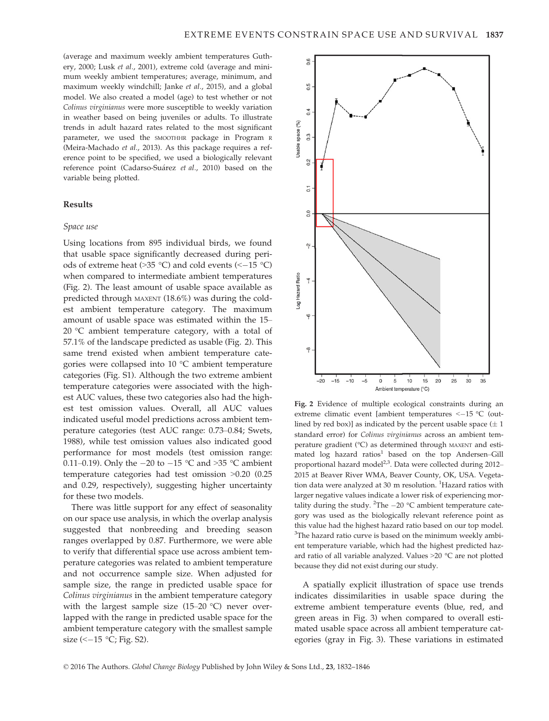(average and maximum weekly ambient temperatures Guthery, 2000; Lusk et al., 2001), extreme cold (average and minimum weekly ambient temperatures; average, minimum, and maximum weekly windchill; Janke et al., 2015), and a global model. We also created a model (age) to test whether or not Colinus virginianus were more susceptible to weekly variation in weather based on being juveniles or adults. To illustrate trends in adult hazard rates related to the most significant parameter, we used the SMOOTHHR package in Program <sup>R</sup> (Meira-Machado et al., 2013). As this package requires a reference point to be specified, we used a biologically relevant reference point (Cadarso-Suárez et al., 2010) based on the variable being plotted.

# Results

## Space use

Using locations from 895 individual birds, we found that usable space significantly decreased during periods of extreme heat ( $>35$  °C) and cold events ( $<-15$  °C) when compared to intermediate ambient temperatures (Fig. 2). The least amount of usable space available as predicted through MAXENT (18.6%) was during the coldest ambient temperature category. The maximum amount of usable space was estimated within the 15– 20 °C ambient temperature category, with a total of 57.1% of the landscape predicted as usable (Fig. 2). This same trend existed when ambient temperature categories were collapsed into 10 °C ambient temperature categories (Fig. S1). Although the two extreme ambient temperature categories were associated with the highest AUC values, these two categories also had the highest test omission values. Overall, all AUC values indicated useful model predictions across ambient temperature categories (test AUC range: 0.73–0.84; Swets, 1988), while test omission values also indicated good performance for most models (test omission range: 0.11–0.19). Only the  $-20$  to  $-15$  °C and  $>35$  °C ambient temperature categories had test omission >0.20 (0.25 and 0.29, respectively), suggesting higher uncertainty for these two models.

There was little support for any effect of seasonality on our space use analysis, in which the overlap analysis suggested that nonbreeding and breeding season ranges overlapped by 0.87. Furthermore, we were able to verify that differential space use across ambient temperature categories was related to ambient temperature and not occurrence sample size. When adjusted for sample size, the range in predicted usable space for Colinus virginianus in the ambient temperature category with the largest sample size (15–20 °C) never overlapped with the range in predicted usable space for the ambient temperature category with the smallest sample size  $\leftlt -15 \text{ °C}$ ; Fig. S2).



Fig. 2 Evidence of multiple ecological constraints during an extreme climatic event [ambient temperatures <-15 °C (outlined by red box)] as indicated by the percent usable space  $(\pm 1)$ standard error) for Colinus virginianus across an ambient temperature gradient (°C) as determined through MAXENT and estimated  $\log$  hazard ratios<sup>1</sup> based on the top Andersen–Gill proportional hazard model<sup>2,3</sup>. Data were collected during 2012– 2015 at Beaver River WMA, Beaver County, OK, USA. Vegetation data were analyzed at 30 m resolution. <sup>1</sup>Hazard ratios with larger negative values indicate a lower risk of experiencing mortality during the study. <sup>2</sup>The  $-20$  °C ambient temperature category was used as the biologically relevant reference point as this value had the highest hazard ratio based on our top model.  $3$ The hazard ratio curve is based on the minimum weekly ambient temperature variable, which had the highest predicted hazard ratio of all variable analyzed. Values >20 °C are not plotted because they did not exist during our study.

A spatially explicit illustration of space use trends indicates dissimilarities in usable space during the extreme ambient temperature events (blue, red, and green areas in Fig. 3) when compared to overall estimated usable space across all ambient temperature categories (gray in Fig. 3). These variations in estimated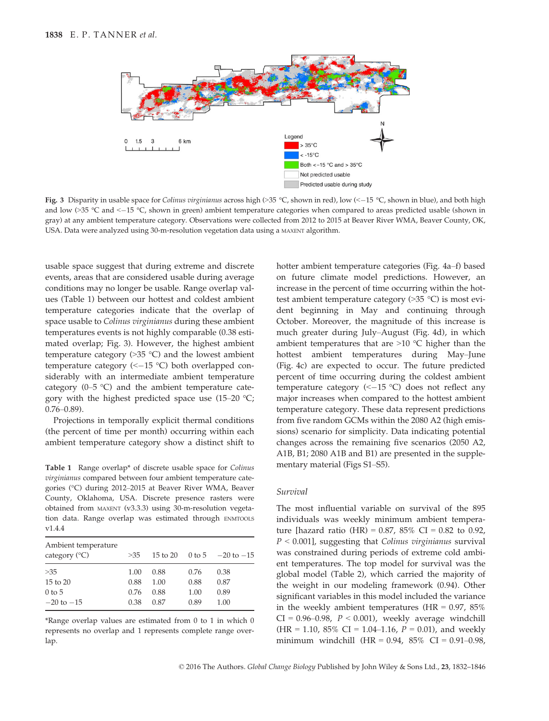

Fig. 3 Disparity in usable space for Colinus virginianus across high (>35 °C, shown in red), low (<-15 °C, shown in blue), and both high and low  $(35 \degree C \text{ and } \le -15 \degree C$ , shown in green) ambient temperature categories when compared to areas predicted usable (shown in gray) at any ambient temperature category. Observations were collected from 2012 to 2015 at Beaver River WMA, Beaver County, OK, USA. Data were analyzed using 30-m-resolution vegetation data using a MAXENT algorithm.

usable space suggest that during extreme and discrete events, areas that are considered usable during average conditions may no longer be usable. Range overlap values (Table 1) between our hottest and coldest ambient temperature categories indicate that the overlap of space usable to Colinus virginianus during these ambient temperatures events is not highly comparable (0.38 estimated overlap; Fig. 3). However, the highest ambient temperature category  $(>35 \degree C)$  and the lowest ambient temperature category  $(<-15 °C)$  both overlapped considerably with an intermediate ambient temperature category (0–5 °C) and the ambient temperature category with the highest predicted space use  $(15-20 \degree C;$ 0.76–0.89).

Projections in temporally explicit thermal conditions (the percent of time per month) occurring within each ambient temperature category show a distinct shift to

Table 1 Range overlap\* of discrete usable space for Colinus virginianus compared between four ambient temperature categories (°C) during 2012–2015 at Beaver River WMA, Beaver County, Oklahoma, USA. Discrete presence rasters were obtained from MAXENT (v3.3.3) using 30-m-resolution vegetation data. Range overlap was estimated through ENMTOOLS v1.4.4

| Ambient temperature<br>category (°C) | >35  | 15 to 20 |      | 0 to 5 $-20$ to $-15$ |
|--------------------------------------|------|----------|------|-----------------------|
| >35                                  | 1.00 | 0.88     | 0.76 | 0.38                  |
| 15 to 20                             | 0.88 | 1.00     | 0.88 | 0.87                  |
| $0$ to 5                             | 0.76 | 0.88     | 1.00 | 0.89                  |
| $-20$ to $-15$                       | 0.38 | 0.87     | 0.89 | 1.00                  |

\*Range overlap values are estimated from 0 to 1 in which 0 represents no overlap and 1 represents complete range overlap.

hotter ambient temperature categories (Fig. 4a–f) based on future climate model predictions. However, an increase in the percent of time occurring within the hottest ambient temperature category (>35 °C) is most evident beginning in May and continuing through October. Moreover, the magnitude of this increase is much greater during July–August (Fig. 4d), in which ambient temperatures that are >10 °C higher than the hottest ambient temperatures during May–June (Fig. 4c) are expected to occur. The future predicted percent of time occurring during the coldest ambient temperature category  $(<-15 °C)$  does not reflect any major increases when compared to the hottest ambient temperature category. These data represent predictions from five random GCMs within the 2080 A2 (high emissions) scenario for simplicity. Data indicating potential changes across the remaining five scenarios (2050 A2, A1B, B1; 2080 A1B and B1) are presented in the supplementary material (Figs S1–S5).

## Survival

The most influential variable on survival of the 895 individuals was weekly minimum ambient temperature [hazard ratio (HR) =  $0.87$ ,  $85\%$  CI =  $0.82$  to 0.92,  $P < 0.001$ , suggesting that Colinus virginianus survival was constrained during periods of extreme cold ambient temperatures. The top model for survival was the global model (Table 2), which carried the majority of the weight in our modeling framework (0.94). Other significant variables in this model included the variance in the weekly ambient temperatures (HR  $= 0.97$ , 85%  $CI = 0.96-0.98$ ,  $P < 0.001$ ), weekly average windchill  $(HR = 1.10, 85\% \text{ CI} = 1.04{\text -}1.16, P = 0.01)$ , and weekly minimum windchill  $(HR = 0.94, 85\% \text{ CI} = 0.91{\text -}0.98,$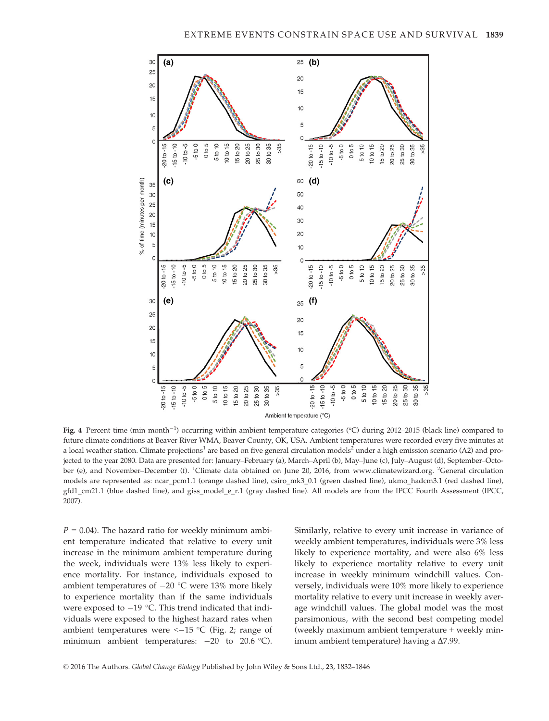

Fig. 4 Percent time (min month<sup>-1</sup>) occurring within ambient temperature categories (°C) during 2012–2015 (black line) compared to future climate conditions at Beaver River WMA, Beaver County, OK, USA. Ambient temperatures were recorded every five minutes at a local weather station. Climate projections<sup>1</sup> are based on five general circulation models<sup>2</sup> under a high emission scenario (A2) and projected to the year 2080. Data are presented for: January–February (a), March–April (b), May–June (c), July–August (d), September–October (e), and November–December (f). <sup>1</sup>Climate data obtained on June 20, 2016, from [www.climatewizard.org](http://www.climatewizard.org). <sup>2</sup>General circulation models are represented as: ncar\_pcm1.1 (orange dashed line), csiro\_mk3\_0.1 (green dashed line), ukmo\_hadcm3.1 (red dashed line), gfd1\_cm21.1 (blue dashed line), and giss\_model\_e\_r.1 (gray dashed line). All models are from the IPCC Fourth Assessment (IPCC, 2007).

 $P = 0.04$ ). The hazard ratio for weekly minimum ambient temperature indicated that relative to every unit increase in the minimum ambient temperature during the week, individuals were 13% less likely to experience mortality. For instance, individuals exposed to ambient temperatures of  $-20$  °C were 13% more likely to experience mortality than if the same individuals were exposed to  $-19$  °C. This trend indicated that individuals were exposed to the highest hazard rates when ambient temperatures were  $\le -15$  °C (Fig. 2; range of minimum ambient temperatures:  $-20$  to 20.6 °C). Similarly, relative to every unit increase in variance of weekly ambient temperatures, individuals were 3% less likely to experience mortality, and were also 6% less likely to experience mortality relative to every unit increase in weekly minimum windchill values. Conversely, individuals were 10% more likely to experience mortality relative to every unit increase in weekly average windchill values. The global model was the most parsimonious, with the second best competing model (weekly maximum ambient temperature + weekly minimum ambient temperature) having a  $\Delta$ 7.99.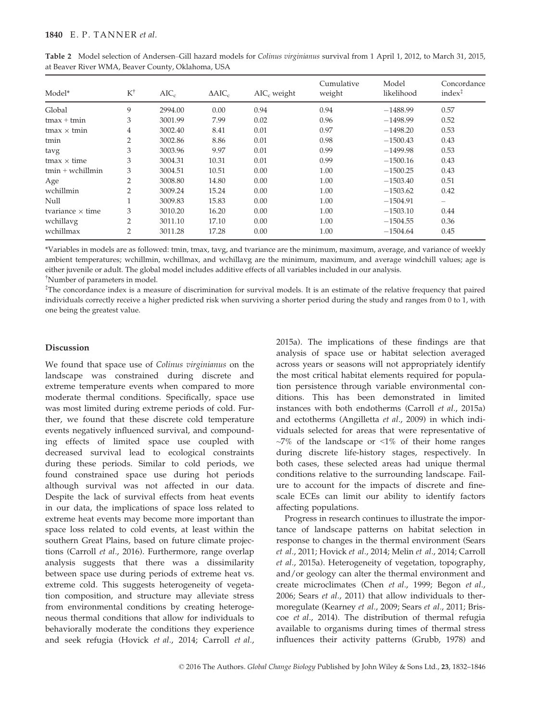| Model*                  | $K^{\dagger}$  | $AIC_c$ | $\triangle AIC_c$ | $AIC_c$ weight | Cumulative<br>weight | Model<br>likelihood | Concordance<br>$index^{\ddagger}$ |
|-------------------------|----------------|---------|-------------------|----------------|----------------------|---------------------|-----------------------------------|
|                         |                |         |                   |                |                      |                     |                                   |
| Global                  | 9              | 2994.00 | 0.00              | 0.94           | 0.94                 | $-1488.99$          | 0.57                              |
| $t$ max + $t$ min       | 3              | 3001.99 | 7.99              | 0.02           | 0.96                 | $-1498.99$          | 0.52                              |
| $t$ max $\times$ tmin   | $\overline{4}$ | 3002.40 | 8.41              | 0.01           | 0.97                 | $-1498.20$          | 0.53                              |
| tmin                    | 2              | 3002.86 | 8.86              | 0.01           | 0.98                 | $-1500.43$          | 0.43                              |
| tavg                    | 3              | 3003.96 | 9.97              | 0.01           | 0.99                 | $-1499.98$          | 0.53                              |
| $t$ max $\times$ time   | 3              | 3004.31 | 10.31             | 0.01           | 0.99                 | $-1500.16$          | 0.43                              |
| $tmin + wchillmin$      | 3              | 3004.51 | 10.51             | 0.00           | 1.00                 | $-1500.25$          | 0.43                              |
| Age                     | $\overline{2}$ | 3008.80 | 14.80             | 0.00           | 1.00                 | $-1503.40$          | 0.51                              |
| wchillmin               | 2              | 3009.24 | 15.24             | 0.00           | 1.00                 | $-1503.62$          | 0.42                              |
| Null                    |                | 3009.83 | 15.83             | 0.00           | 1.00                 | $-1504.91$          | $\qquad \qquad$                   |
| tvariance $\times$ time | 3              | 3010.20 | 16.20             | 0.00           | 1.00                 | $-1503.10$          | 0.44                              |
| wchillavg               | $\overline{2}$ | 3011.10 | 17.10             | 0.00           | 1.00                 | $-1504.55$          | 0.36                              |
| wchillmax               | $\overline{2}$ | 3011.28 | 17.28             | 0.00           | 1.00                 | $-1504.64$          | 0.45                              |

Table 2 Model selection of Andersen–Gill hazard models for Colinus virginianus survival from 1 April 1, 2012, to March 31, 2015, at Beaver River WMA, Beaver County, Oklahoma, USA

\*Variables in models are as followed: tmin, tmax, tavg, and tvariance are the minimum, maximum, average, and variance of weekly ambient temperatures; wchillmin, wchillmax, and wchillavg are the minimum, maximum, and average windchill values; age is either juvenile or adult. The global model includes additive effects of all variables included in our analysis. † Number of parameters in model.

‡ The concordance index is a measure of discrimination for survival models. It is an estimate of the relative frequency that paired individuals correctly receive a higher predicted risk when surviving a shorter period during the study and ranges from 0 to 1, with one being the greatest value.

# Discussion

We found that space use of Colinus virginianus on the landscape was constrained during discrete and extreme temperature events when compared to more moderate thermal conditions. Specifically, space use was most limited during extreme periods of cold. Further, we found that these discrete cold temperature events negatively influenced survival, and compounding effects of limited space use coupled with decreased survival lead to ecological constraints during these periods. Similar to cold periods, we found constrained space use during hot periods although survival was not affected in our data. Despite the lack of survival effects from heat events in our data, the implications of space loss related to extreme heat events may become more important than space loss related to cold events, at least within the southern Great Plains, based on future climate projections (Carroll et al., 2016). Furthermore, range overlap analysis suggests that there was a dissimilarity between space use during periods of extreme heat vs. extreme cold. This suggests heterogeneity of vegetation composition, and structure may alleviate stress from environmental conditions by creating heterogeneous thermal conditions that allow for individuals to behaviorally moderate the conditions they experience and seek refugia (Hovick et al., 2014; Carroll et al.,

2015a). The implications of these findings are that analysis of space use or habitat selection averaged across years or seasons will not appropriately identify the most critical habitat elements required for population persistence through variable environmental conditions. This has been demonstrated in limited instances with both endotherms (Carroll et al., 2015a) and ectotherms (Angilletta et al., 2009) in which individuals selected for areas that were representative of  $~1\%$  of the landscape or  $~1\%$  of their home ranges during discrete life-history stages, respectively. In both cases, these selected areas had unique thermal conditions relative to the surrounding landscape. Failure to account for the impacts of discrete and finescale ECEs can limit our ability to identify factors affecting populations.

Progress in research continues to illustrate the importance of landscape patterns on habitat selection in response to changes in the thermal environment (Sears et al., 2011; Hovick et al., 2014; Melin et al., 2014; Carroll et al., 2015a). Heterogeneity of vegetation, topography, and/or geology can alter the thermal environment and create microclimates (Chen et al., 1999; Begon et al., 2006; Sears et al., 2011) that allow individuals to thermoregulate (Kearney et al., 2009; Sears et al., 2011; Briscoe et al., 2014). The distribution of thermal refugia available to organisms during times of thermal stress influences their activity patterns (Grubb, 1978) and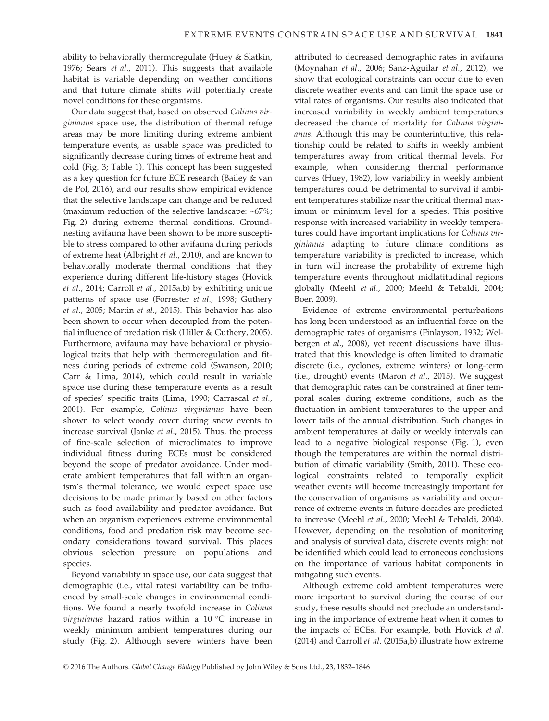ability to behaviorally thermoregulate (Huey & Slatkin, 1976; Sears et al., 2011). This suggests that available habitat is variable depending on weather conditions and that future climate shifts will potentially create novel conditions for these organisms.

Our data suggest that, based on observed Colinus virginianus space use, the distribution of thermal refuge areas may be more limiting during extreme ambient temperature events, as usable space was predicted to significantly decrease during times of extreme heat and cold (Fig. 3; Table 1). This concept has been suggested as a key question for future ECE research (Bailey & van de Pol, 2016), and our results show empirical evidence that the selective landscape can change and be reduced (maximum reduction of the selective landscape: ~67%; Fig. 2) during extreme thermal conditions. Groundnesting avifauna have been shown to be more susceptible to stress compared to other avifauna during periods of extreme heat (Albright et al., 2010), and are known to behaviorally moderate thermal conditions that they experience during different life-history stages (Hovick et al., 2014; Carroll et al., 2015a,b) by exhibiting unique patterns of space use (Forrester et al., 1998; Guthery et al., 2005; Martin et al., 2015). This behavior has also been shown to occur when decoupled from the potential influence of predation risk (Hiller & Guthery, 2005). Furthermore, avifauna may have behavioral or physiological traits that help with thermoregulation and fitness during periods of extreme cold (Swanson, 2010; Carr & Lima, 2014), which could result in variable space use during these temperature events as a result of species' specific traits (Lima, 1990; Carrascal et al., 2001). For example, Colinus virginianus have been shown to select woody cover during snow events to increase survival (Janke et al., 2015). Thus, the process of fine-scale selection of microclimates to improve individual fitness during ECEs must be considered beyond the scope of predator avoidance. Under moderate ambient temperatures that fall within an organism's thermal tolerance, we would expect space use decisions to be made primarily based on other factors such as food availability and predator avoidance. But when an organism experiences extreme environmental conditions, food and predation risk may become secondary considerations toward survival. This places obvious selection pressure on populations and species.

Beyond variability in space use, our data suggest that demographic (i.e., vital rates) variability can be influenced by small-scale changes in environmental conditions. We found a nearly twofold increase in Colinus virginianus hazard ratios within a 10 °C increase in weekly minimum ambient temperatures during our study (Fig. 2). Although severe winters have been

attributed to decreased demographic rates in avifauna (Moynahan et al., 2006; Sanz-Aguilar et al., 2012), we show that ecological constraints can occur due to even discrete weather events and can limit the space use or vital rates of organisms. Our results also indicated that increased variability in weekly ambient temperatures decreased the chance of mortality for Colinus virginianus. Although this may be counterintuitive, this relationship could be related to shifts in weekly ambient temperatures away from critical thermal levels. For example, when considering thermal performance curves (Huey, 1982), low variability in weekly ambient temperatures could be detrimental to survival if ambient temperatures stabilize near the critical thermal maximum or minimum level for a species. This positive response with increased variability in weekly temperatures could have important implications for Colinus virginianus adapting to future climate conditions as temperature variability is predicted to increase, which in turn will increase the probability of extreme high temperature events throughout midlatitudinal regions globally (Meehl et al., 2000; Meehl & Tebaldi, 2004; Boer, 2009).

Evidence of extreme environmental perturbations has long been understood as an influential force on the demographic rates of organisms (Finlayson, 1932; Welbergen et al., 2008), yet recent discussions have illustrated that this knowledge is often limited to dramatic discrete (i.e., cyclones, extreme winters) or long-term (i.e., drought) events (Maron et al., 2015). We suggest that demographic rates can be constrained at finer temporal scales during extreme conditions, such as the fluctuation in ambient temperatures to the upper and lower tails of the annual distribution. Such changes in ambient temperatures at daily or weekly intervals can lead to a negative biological response (Fig. 1), even though the temperatures are within the normal distribution of climatic variability (Smith, 2011). These ecological constraints related to temporally explicit weather events will become increasingly important for the conservation of organisms as variability and occurrence of extreme events in future decades are predicted to increase (Meehl et al., 2000; Meehl & Tebaldi, 2004). However, depending on the resolution of monitoring and analysis of survival data, discrete events might not be identified which could lead to erroneous conclusions on the importance of various habitat components in mitigating such events.

Although extreme cold ambient temperatures were more important to survival during the course of our study, these results should not preclude an understanding in the importance of extreme heat when it comes to the impacts of ECEs. For example, both Hovick et al. (2014) and Carroll et al. (2015a,b) illustrate how extreme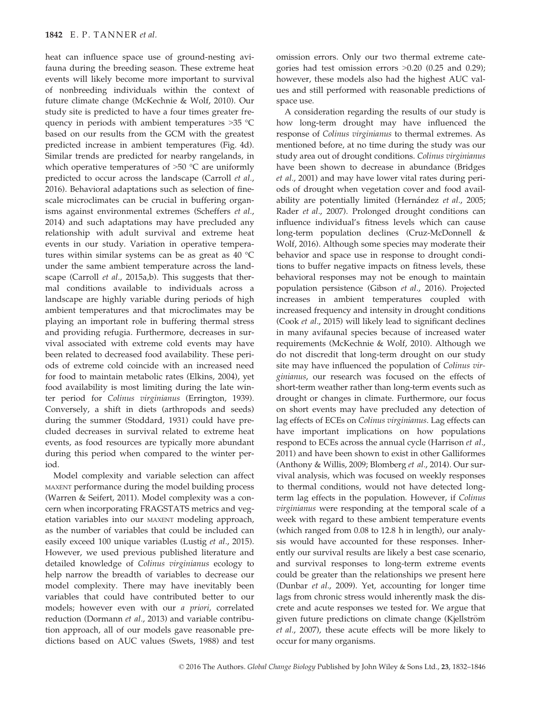heat can influence space use of ground-nesting avifauna during the breeding season. These extreme heat events will likely become more important to survival of nonbreeding individuals within the context of future climate change (McKechnie & Wolf, 2010). Our study site is predicted to have a four times greater frequency in periods with ambient temperatures >35 °C based on our results from the GCM with the greatest predicted increase in ambient temperatures (Fig. 4d). Similar trends are predicted for nearby rangelands, in which operative temperatures of  $>50$  °C are uniformly predicted to occur across the landscape (Carroll et al., 2016). Behavioral adaptations such as selection of finescale microclimates can be crucial in buffering organisms against environmental extremes (Scheffers et al., 2014) and such adaptations may have precluded any relationship with adult survival and extreme heat events in our study. Variation in operative temperatures within similar systems can be as great as 40 °C under the same ambient temperature across the landscape (Carroll *et al.*, 2015a,b). This suggests that thermal conditions available to individuals across a landscape are highly variable during periods of high ambient temperatures and that microclimates may be playing an important role in buffering thermal stress and providing refugia. Furthermore, decreases in survival associated with extreme cold events may have been related to decreased food availability. These periods of extreme cold coincide with an increased need for food to maintain metabolic rates (Elkins, 2004), yet food availability is most limiting during the late winter period for Colinus virginianus (Errington, 1939). Conversely, a shift in diets (arthropods and seeds) during the summer (Stoddard, 1931) could have precluded decreases in survival related to extreme heat events, as food resources are typically more abundant during this period when compared to the winter period.

Model complexity and variable selection can affect MAXENT performance during the model building process (Warren & Seifert, 2011). Model complexity was a concern when incorporating FRAGSTATS metrics and vegetation variables into our MAXENT modeling approach, as the number of variables that could be included can easily exceed 100 unique variables (Lustig et al., 2015). However, we used previous published literature and detailed knowledge of Colinus virginianus ecology to help narrow the breadth of variables to decrease our model complexity. There may have inevitably been variables that could have contributed better to our models; however even with our a priori, correlated reduction (Dormann et al., 2013) and variable contribution approach, all of our models gave reasonable predictions based on AUC values (Swets, 1988) and test omission errors. Only our two thermal extreme categories had test omission errors >0.20 (0.25 and 0.29); however, these models also had the highest AUC values and still performed with reasonable predictions of space use.

A consideration regarding the results of our study is how long-term drought may have influenced the response of Colinus virginianus to thermal extremes. As mentioned before, at no time during the study was our study area out of drought conditions. Colinus virginianus have been shown to decrease in abundance (Bridges et al., 2001) and may have lower vital rates during periods of drought when vegetation cover and food availability are potentially limited (Hernández et al., 2005; Rader et al., 2007). Prolonged drought conditions can influence individual's fitness levels which can cause long-term population declines (Cruz-McDonnell & Wolf, 2016). Although some species may moderate their behavior and space use in response to drought conditions to buffer negative impacts on fitness levels, these behavioral responses may not be enough to maintain population persistence (Gibson et al., 2016). Projected increases in ambient temperatures coupled with increased frequency and intensity in drought conditions (Cook et al., 2015) will likely lead to significant declines in many avifaunal species because of increased water requirements (McKechnie & Wolf, 2010). Although we do not discredit that long-term drought on our study site may have influenced the population of Colinus virginianus, our research was focused on the effects of short-term weather rather than long-term events such as drought or changes in climate. Furthermore, our focus on short events may have precluded any detection of lag effects of ECEs on Colinus virginianus. Lag effects can have important implications on how populations respond to ECEs across the annual cycle (Harrison et al., 2011) and have been shown to exist in other Galliformes (Anthony & Willis, 2009; Blomberg et al., 2014). Our survival analysis, which was focused on weekly responses to thermal conditions, would not have detected longterm lag effects in the population. However, if Colinus virginianus were responding at the temporal scale of a week with regard to these ambient temperature events (which ranged from 0.08 to 12.8 h in length), our analysis would have accounted for these responses. Inherently our survival results are likely a best case scenario, and survival responses to long-term extreme events could be greater than the relationships we present here (Dunbar et al., 2009). Yet, accounting for longer time lags from chronic stress would inherently mask the discrete and acute responses we tested for. We argue that given future predictions on climate change (Kjellström et al., 2007), these acute effects will be more likely to occur for many organisms.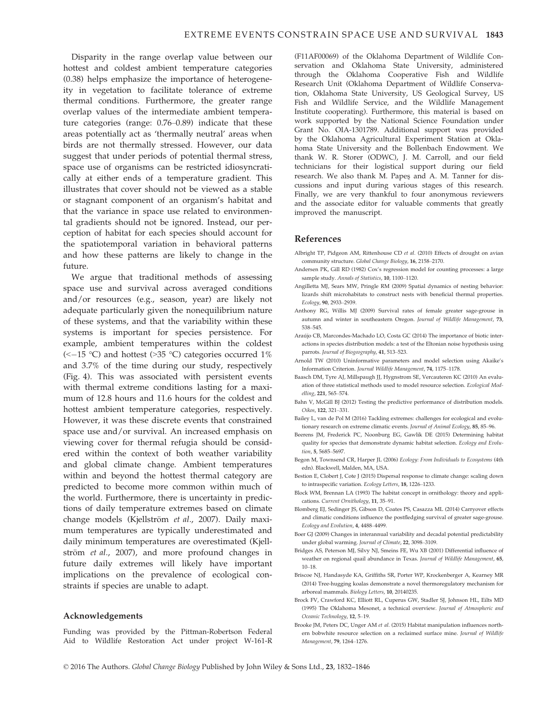Disparity in the range overlap value between our hottest and coldest ambient temperature categories (0.38) helps emphasize the importance of heterogeneity in vegetation to facilitate tolerance of extreme thermal conditions. Furthermore, the greater range overlap values of the intermediate ambient temperature categories (range: 0.76–0.89) indicate that these areas potentially act as 'thermally neutral' areas when birds are not thermally stressed. However, our data suggest that under periods of potential thermal stress, space use of organisms can be restricted idiosyncratically at either ends of a temperature gradient. This illustrates that cover should not be viewed as a stable or stagnant component of an organism's habitat and that the variance in space use related to environmental gradients should not be ignored. Instead, our perception of habitat for each species should account for the spatiotemporal variation in behavioral patterns and how these patterns are likely to change in the future.

We argue that traditional methods of assessing space use and survival across averaged conditions and/or resources (e.g., season, year) are likely not adequate particularly given the nonequilibrium nature of these systems, and that the variability within these systems is important for species persistence. For example, ambient temperatures within the coldest (<-15 °C) and hottest (>35 °C) categories occurred 1% and 3.7% of the time during our study, respectively (Fig. 4). This was associated with persistent events with thermal extreme conditions lasting for a maximum of 12.8 hours and 11.6 hours for the coldest and hottest ambient temperature categories, respectively. However, it was these discrete events that constrained space use and/or survival. An increased emphasis on viewing cover for thermal refugia should be considered within the context of both weather variability and global climate change. Ambient temperatures within and beyond the hottest thermal category are predicted to become more common within much of the world. Furthermore, there is uncertainty in predictions of daily temperature extremes based on climate change models (Kjellström et al., 2007). Daily maximum temperatures are typically underestimated and daily minimum temperatures are overestimated (Kjellström et al., 2007), and more profound changes in future daily extremes will likely have important implications on the prevalence of ecological constraints if species are unable to adapt.

### Acknowledgements

Funding was provided by the Pittman-Robertson Federal Aid to Wildlife Restoration Act under project W-161-R

(F11AF00069) of the Oklahoma Department of Wildlife Conservation and Oklahoma State University, administered through the Oklahoma Cooperative Fish and Wildlife Research Unit (Oklahoma Department of Wildlife Conservation, Oklahoma State University, US Geological Survey, US Fish and Wildlife Service, and the Wildlife Management Institute cooperating). Furthermore, this material is based on work supported by the National Science Foundation under Grant No. OIA-1301789. Additional support was provided by the Oklahoma Agricultural Experiment Station at Oklahoma State University and the Bollenbach Endowment. We thank W. R. Storer (ODWC), J. M. Carroll, and our field technicians for their logistical support during our field research. We also thank M. Papes and A. M. Tanner for discussions and input during various stages of this research. Finally, we are very thankful to four anonymous reviewers and the associate editor for valuable comments that greatly improved the manuscript.

### References

- Albright TP, Pidgeon AM, Rittenhouse CD et al. (2010) Effects of drought on avian community structure. Global Change Biology, 16, 2158–2170.
- Andersen PK, Gill RD (1982) Cox's regression model for counting processes: a large sample study. Annals of Statistics, 10, 1100–1120.
- Angilletta MJ, Sears MW, Pringle RM (2009) Spatial dynamics of nesting behavior: lizards shift microhabitats to construct nests with beneficial thermal properties. Ecology, 90, 2933–2939.
- Anthony RG, Willis MJ (2009) Survival rates of female greater sage-grouse in autumn and winter in southeastern Oregon. Journal of Wildlife Management, 73, 538–545.
- Araújo CB, Marcondes-Machado LO, Costa GC (2014) The importance of biotic interactions in species distribution models: a test of the Eltonian noise hypothesis using parrots. Journal of Biogeography, 41, 513–523.
- Arnold TW (2010) Uninformative parameters and model selection using Akaike's Information Criterion. Journal Wildlife Management, 74, 1175–1178.
- Baasch DM, Tyre AJ, Millspaugh JJ, Hygnstrom SE, Vercauteren KC (2010) An evaluation of three statistical methods used to model resource selection. Ecological Modelling, 221, 565–574.
- Bahn V, McGill BJ (2012) Testing the predictive performance of distribution models. Oikos, 122, 321–331.
- Bailey L, van de Pol M (2016) Tackling extremes: challenges for ecological and evolutionary research on extreme climatic events. Journal of Animal Ecology, 85, 85–96.
- Beerens JM, Frederick PC, Noonburg EG, Gawlik DE (2015) Determining habitat quality for species that demonstrate dynamic habitat selection. Ecology and Evolution, 5, 5685–5697.
- Begon M, Townsend CR, Harper JL (2006) Ecology: From Individuals to Ecosystems (4th edn). Blackwell, Malden, MA, USA.
- Bestion E, Clobert J, Cote J (2015) Dispersal response to climate change: scaling down to intraspecific variation. Ecology Letters, 18, 1226–1233.
- Block WM, Brennan LA (1993) The habitat concept in ornithology: theory and applications. Current Ornithology, 11, 35–91.
- Blomberg EJ, Sedinger JS, Gibson D, Coates PS, Casazza ML (2014) Carryover effects and climatic conditions influence the postfledging survival of greater sage-grouse. Ecology and Evolution, 4, 4488–4499.
- Boer GJ (2009) Changes in interannual variability and decadal potential predictability under global warming. Journal of Climate, 22, 3098–3109.
- Bridges AS, Peterson MJ, Silvy NJ, Smeins FE, Wu XB (2001) Differential influence of weather on regional quail abundance in Texas. Journal of Wildlife Management, 65, 10–18.
- Briscoe NJ, Handasyde KA, Griffiths SR, Porter WP, Krockenberger A, Kearney MR (2014) Tree-hugging koalas demonstrate a novel thermoregulatory mechanism for arboreal mammals. Biology Letters, 10, 20140235.
- Brock FV, Crawford KC, Elliott RL, Cuperus GW, Stadler SJ, Johnson HL, Eilts MD (1995) The Oklahoma Mesonet, a technical overview. Journal of Atmospheric and Oceanic Technology, 12, 5–19.
- Brooke JM, Peters DC, Unger AM et al. (2015) Habitat manipulation influences northern bobwhite resource selection on a reclaimed surface mine. Journal of Wildlife Management, 79, 1264–1276.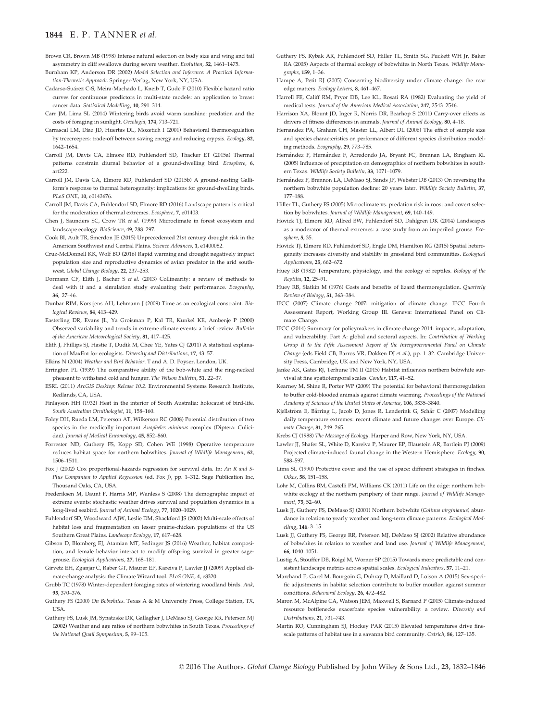#### 1844 E. P. TANNER et al.

- Brown CR, Brown MB (1998) Intense natural selection on body size and wing and tail asymmetry in cliff swallows during severe weather. Evolution, 52, 1461–1475.
- Burnham KP, Anderson DR (2002) Model Selection and Inference: A Practical Information-Theoretic Approach. Springer-Verlag, New York, NY, USA.
- Cadarso-Suárez C-S, Meira-Machado L, Kneib T, Gude F (2010) Flexible hazard ratio curves for continuous predictors in multi-state models: an application to breast cancer data. Statistical Modelling, 10, 291–314.
- Carr JM, Lima SL (2014) Wintering birds avoid warm sunshine: predation and the costs of foraging in sunlight. Oecologia, 174, 713–721.
- Carrascal LM, Díaz JD, Huertas DL, Mozetich I (2001) Behavioral thermoregulation by treecreepers: trade-off between saving energy and reducing crypsis. Ecology, 82, 1642–1654.
- Carroll JM, Davis CA, Elmore RD, Fuhlendorf SD, Thacker ET (2015a) Thermal patterns constrain diurnal behavior of a ground-dwelling bird. Ecosphere, 6,  $arf222$
- Carroll JM, Davis CA, Elmore RD, Fuhlendorf SD (2015b) A ground-nesting Galliform's response to thermal heterogeneity: implications for ground-dwelling birds. PLoS ONE, 10, e0143676.
- Carroll JM, Davis CA, Fuhlendorf SD, Elmore RD (2016) Landscape pattern is critical for the moderation of thermal extremes. Ecosphere, 7, e01403.
- Chen J, Saunders SC, Crow TR et al. (1999) Microclimate in forest ecosystem and landscape ecology. BioScience, 49, 288–297.
- Cook BI, Ault TR, Smerdon JE (2015) Unprecedented 21st century drought risk in the American Southwest and Central Plains. Science Advances, 1, e1400082.
- Cruz-McDonnell KK, Wolf BO (2016) Rapid warming and drought negatively impact population size and reproductive dynamics of avian predator in the arid southwest. Global Change Biology, 22, 237–253.
- Dormann CF, Elith J, Bacher S et al. (2013) Collinearity: a review of methods to deal with it and a simulation study evaluating their performance. Ecography, 36, 27–46.
- Dunbar RIM, Korstjens AH, Lehmann J (2009) Time as an ecological constraint. Biological Reviews, 84, 413–429.
- Easterling DR, Evans JL, Ya Groisman P, Kal TR, Kunkel KE, Ambenje P (2000) Observed variability and trends in extreme climate events: a brief review. Bulletin of the American Meteorological Society, 81, 417–425.
- Elith I. Phillips SI. Hastie T, Dudik M, Chee YE, Yates CJ (2011) A statistical explanation of MaxEnt for ecologists. Diversity and Distributions, 17, 43–57.
- Elkins N (2004) Weather and Bird Behavior. T and A. D. Poyser, London, UK.
- Errington PL (1939) The comparative ability of the bob-white and the ring-necked pheasant to withstand cold and hunger. The Wilson Bulletin, 51, 22–37.
- ESRI. (2011) ArcGIS Desktop: Release 10.2. Environmental Systems Research Institute, Redlands, CA, USA.
- Finlayson HH (1932) Heat in the interior of South Australia: holocaust of bird-life. South Australian Ornithologist, 11, 158–160.
- Foley DH, Rueda LM, Peterson AT, Wilkerson RC (2008) Potential distribution of two species in the medically important Anopheles minimus complex (Diptera: Culicidae). Journal of Medical Entomology, 45, 852–860.
- Forrester ND, Guthery FS, Kopp SD, Cohen WE (1998) Operative temperature reduces habitat space for northern bobwhites. Journal of Wildlife Management, 62, 1506–1511.
- Fox J (2002) Cox proportional-hazards regression for survival data. In: An R and S-Plus Companion to Applied Regression (ed. Fox J), pp. 1–312. Sage Publication Inc, Thousand Oaks, CA, USA.
- Frederiksen M, Daunt F, Harris MP, Wanless S (2008) The demographic impact of extreme events: stochastic weather drives survival and population dynamics in a long-lived seabird. Journal of Animal Ecology, 77, 1020–1029.
- Fuhlendorf SD, Woodward AJW, Leslie DM, Shackford JS (2002) Multi-scale effects of habitat loss and fragmentation on lesser prairie-chicken populations of the US Southern Great Plains. Landscape Ecology, 17, 617–628.
- Gibson D, Blomberg EJ, Atamian MT, Sedinger JS (2016) Weather, habitat composition, and female behavior interact to modify offspring survival in greater sagegrouse. Ecological Applications, 27, 168–181.
- Girvetz EH, Zganjar C, Raber GT, Maurer EP, Kareiva P, Lawler JJ (2009) Applied climate-change analysis: the Climate Wizard tool. PLoS ONE, 4, e8320.
- Grubb TC (1978) Winter-dependent foraging rates of wintering woodland birds. Auk, 95, 370–376.
- Guthery FS (2000) On Bobwhites. Texas A & M University Press, College Station, TX, USA.
- Guthery FS, Lusk JM, Synatzske DR, Gallagher J, DeMaso SJ, George RR, Peterson MJ (2002) Weather and age ratios of northern bobwhites in South Texas. Proceedings of the National Quail Symposium, 5, 99–105.
- Guthery FS, Rybak AR, Fuhlendorf SD, Hiller TL, Smith SG, Puckett WH Jr, Baker RA (2005) Aspects of thermal ecology of bobwhites in North Texas. Wildlife Monographs, 159, 1–36.
- Hampe A, Petit RJ (2005) Conserving biodiversity under climate change: the rear edge matters. Ecology Letters, 8, 461–467.
- Harrell FE, Califf RM, Pryor DB, Lee KL, Rosati RA (1982) Evaluating the yield of medical tests. Journal of the American Medical Association, 247, 2543–2546.
- Harrison XA, Blount JD, Inger R, Norris DR, Bearhop S (2011) Carry-over effects as drivers of fitness differences in animals. Journal of Animal Ecology, 80, 4–18.
- Hernandez PA, Graham CH, Master LL, Albert DL (2006) The effect of sample size and species characteristics on performance of different species distribution modeling methods. Ecography, 29, 773–785.
- Hernández F, Hernández F, Arredondo JA, Bryant FC, Brennan LA, Bingham RL (2005) Influence of precipitation on demographics of northern bobwhites in southern Texas. Wildlife Society Bulletin, 33, 1071–1079.
- Hern-andez F, Brennon LA, DeMaso SJ, Sands JP, Webster DB (2013) On reversing the northern bobwhite population decline: 20 years later. Wildlife Society Bulletin, 37, 177–188.
- Hiller TL, Guthery FS (2005) Microclimate vs. predation risk in roost and covert selection by bobwhites. Journal of Wildlife Management, 69, 140–149.
- Hovick TJ, Elmore RD, Allred BW, Fuhlendorf SD, Dahlgren DK (2014) Landscapes as a moderator of thermal extremes: a case study from an imperiled grouse. Ecosphere, 5, 35.
- Hovick TJ, Elmore RD, Fuhlendorf SD, Engle DM, Hamilton RG (2015) Spatial heterogeneity increases diversity and stability in grassland bird communities. Ecological Applications, 25, 662–672.
- Huey RB (1982) Temperature, physiology, and the ecology of reptiles. Biology of the Reptilia, 12, 25–91.
- Huey RB, Slatkin M (1976) Costs and benefits of lizard thermoregulation. Quarterly Review of Biology, 51, 363–384.
- IPCC (2007) Climate change 2007: mitigation of climate change. IPCC Fourth Assessment Report, Working Group III. Geneva: International Panel on Climate Change.
- IPCC (2014) Summary for policymakers in climate change 2014: impacts, adaptation, and vulnerability. Part A: global and sectoral aspects. In: Contribution of Working Group II to the Fifth Assessment Report of the Intergovernmental Panel on Climate Change (eds Field CB, Barros VR, Dokken DJ et al.), pp. 1–32. Cambridge University Press, Cambridge, UK and New York, NY, USA.
- Janke AK, Gates RJ, Terhune TM II (2015) Habitat influences northern bobwhite survival at fine spatiotemporal scales. Condor, 117, 41–52.
- Kearney M, Shine R, Porter WP (2009) The potential for behavioral thermoregulation to buffer cold-blooded animals against climate warming. Proceedings of the National Academy of Sciences of the United States of America, 106, 3835–3840.
- Kjellström E, Bärring L, Jacob D, Jones R, Lenderink G, Schär C (2007) Modelling daily temperature extremes: recent climate and future changes over Europe. Climate Change, 81, 249–265.
- Krebs CJ (1988) The Message of Ecology. Harper and Row, New York, NY, USA.
- Lawler JJ, Shafer SL, White D, Kareiva P, Maurer EP, Blaustein AR, Bartlein PJ (2009) Projected climate-induced faunal change in the Western Hemisphere. Ecology, 90, 588–597.
- Lima SL (1990) Protective cover and the use of space: different strategies in finches. Oikos, 58, 151–158.
- Lohr M, Collins BM, Castelli PM, Williams CK (2011) Life on the edge: northern bobwhite ecology at the northern periphery of their range. Journal of Wildlife Management, 75, 52–60.
- Lusk II, Guthery FS, DeMaso SJ (2001) Northern bobwhite (Colinus virginianus) abundance in relation to yearly weather and long-term climate patterns. Ecological Modelling, 146, 3–15.
- Lusk JJ, Guthery FS, George RR, Peterson MJ, DeMaso SJ (2002) Relative abundance of bobwhites in relation to weather and land use. Journal of Wildlife Management, 66, 1040–1051.
- Lustig A, Stouffer DB, Roigé M, Worner SP (2015) Towards more predictable and consistent landscape metrics across spatial scales. Ecological Indicators, 57, 11–21.
- Marchand P, Garel M, Bourgoin G, Dubray D, Maillard D, Loison A (2015) Sex-specific adjustments in habitat selection contribute to buffer mouflon against summer conditions. Behavioral Ecology, 26, 472–482.
- Maron M, McAlpine CA, Watson JEM, Maxwell S, Barnard P (2015) Climate-induced resource bottlenecks exacerbate species vulnerability: a review. Diversity and Distributions, 21, 731–743.
- Martin RO, Cunningham SJ, Hockey PAR (2015) Elevated temperatures drive finescale patterns of habitat use in a savanna bird community. Ostrich, 86, 127–135.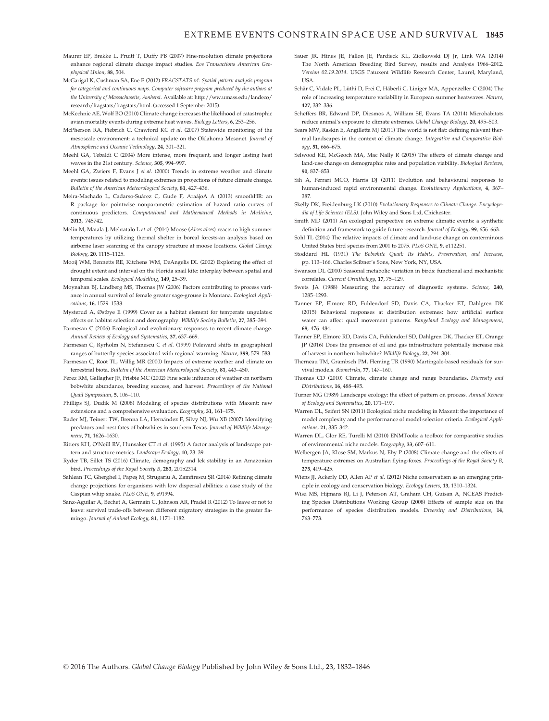- Maurer EP, Brekke L, Pruitt T, Duffy PB (2007) Fine-resolution climate projections enhance regional climate change impact studies. Eos Transactions American Geophysical Union, 88, 504.
- McGarigal K, Cushman SA, Ene E (2012) FRAGSTATS v4: Spatial pattern analysis program for categorical and continuous maps. Computer software program produced by the authors at the University of Massachusetts, Amherst. Available at: [http://ww.umass.edu/landeco/](http://ww.umass.edu/landeco/research/fragstats/fragstats/html) [research/fragstats/fragstats/html](http://ww.umass.edu/landeco/research/fragstats/fragstats/html). (accessed 1 September 2015).
- McKechnie AE, Wolf BO (2010) Climate change increases the likelihood of catastrophic avian mortality events during extreme heat waves. Biology Letters, 6, 253–256.
- McPherson RA, Fiebrich C, Crawford KC et al. (2007) Statewide monitoring of the mesoscale environment: a technical update on the Oklahoma Mesonet. Journal of Atmospheric and Oceanic Technology, 24, 301–321.
- Meehl GA, Tebaldi C (2004) More intense, more frequent, and longer lasting heat waves in the 21st century. Science, 305, 994–997.
- Meehl GA, Zwiers F, Evans Let al. (2000) Trends in extreme weather and climate events: issues related to modeling extremes in projections of future climate change. Bulletin of the American Meteorological Society, 81, 427–436.
- Meira-Machado L, Cadarso-Suárez C, Gude F, AraájoA A (2013) smoothHR: an R package for pointwise nonparametric estimation of hazard ratio curves of continuous predictors. Computational and Mathematical Methods in Medicine, 2013, 745742.
- Melin M, Matala J, Mehtatalo L et al. (2014) Moose (Alces alces) reacts to high summer temperatures by utilizing thermal shelter in boreal forests-an analysis based on airborne laser scanning of the canopy structure at moose locations. Global Change Biology, 20, 1115–1125.
- Mooij WM, Bennetts RE, Kitchens WM, DeAngelis DL (2002) Exploring the effect of drought extent and interval on the Florida snail kite: interplay between spatial and temporal scales. Ecological Modelling, 149, 25–39.
- Moynahan BJ, Lindberg MS, Thomas JW (2006) Factors contributing to process variance in annual survival of female greater sage-grouse in Montana. Ecological Applications, 16, 1529–1538.
- Mysterud A, Østbye E (1999) Cover as a habitat element for temperate ungulates: effects on habitat selection and demography. Wildlife Society Bulletin, 27, 385–394.
- Parmesan C (2006) Ecological and evolutionary responses to recent climate change. Annual Review of Ecology and Systematics, 37, 637–669.
- Parmesan C, Ryrholm N, Stefanescu C et al. (1999) Poleward shifts in geographical ranges of butterfly species associated with regional warming. Nature, 399, 579–583.
- Parmesan C, Root TL, Willig MR (2000) Impacts of extreme weather and climate on terrestrial biota. Bulletin of the American Meteorological Society, 81, 443-450.
- Perez RM, Gallagher JF, Frisbie MC (2002) Fine scale influence of weather on northern bobwhite abundance, breeding success, and harvest. Proceedings of the National Quail Symposium, 5, 106–110.
- Phillips SJ, Dudik M (2008) Modeling of species distributions with Maxent: new extensions and a comprehensive evaluation. Ecography, 31, 161–175.
- Rader MJ, Teinert TW, Brenna LA, Hernández F, Silvy NJ, Wu XB (2007) Identifying predators and nest fates of bobwhites in southern Texas. Journal of Wildlife Management, 71, 1626–1630.
- Ritters KH, O'Neill RV, Hunsaker CT et al. (1995) A factor analysis of landscape pattern and structure metrics. Landscape Ecology, 10, 23–39.
- Ryder TB, Sillet TS (2016) Climate, demography and lek stability in an Amazonian bird. Proceedings of the Royal Society B, 283, 20152314.
- Sahlean TC, Gherghel I, Papes M, Strugariu A, Zamfirescu SR (2014) Refining climate change projections for organisms with low dispersal abilities: a case study of the Caspian whip snake. PLoS ONE, 9, e91994.
- Sanz-Aguilar A, Bechet A, Germain C, Johnson AR, Pradel R (2012) To leave or not to leave: survival trade-offs between different migratory strategies in the greater flamingo. Journal of Animal Ecology, 81, 1171–1182.
- Sauer JR, Hines JE, Fallon JE, Pardieck KL, Ziolkowski DJ Jr, Link WA (2014) The North American Breeding Bird Survey, results and Analysis 1966–2012. Version 02.19.2014. USGS Patuxent Wildlife Research Center, Laurel, Maryland, **IISA**
- Schär C, Vidale PL, Lüthi D, Frei C, Häberli C, Liniger MA, Appenzeller C (2004) The role of increasing temperature variability in European summer heatwaves. Nature, 427, 332–336.
- Scheffers BR, Edward DP, Diesmos A, William SE, Evans TA (2014) Microhabitats reduce animal's exposure to climate extremes. Global Change Biology, 20, 495–503.
- Sears MW, Raskin E, Angilletta MJ (2011) The world is not flat: defining relevant thermal landscapes in the context of climate change. Integrative and Comparative Biology, 51, 666–675.
- Selwood KE, McGeoch MA, Mac Nally R (2015) The effects of climate change and land-use change on demographic rates and population viability. Biological Reviews, 90, 837–853.
- Sih A, Ferrari MCO, Harris DJ (2011) Evolution and behavioural responses to human-induced rapid environmental change. Evolutionary Applications, 4, 367– 387.
- Skelly DK, Freidenburg LK (2010) Evolutionary Responses to Climate Change. Encyclopedia of Life Sciences (ELS). John Wiley and Sons Ltd, Chichester.
- Smith MD (2011) An ecological perspective on extreme climatic events: a synthetic definition and framework to guide future research. Journal of Ecology, 99, 656–663.
- Sohl TL (2014) The relative impacts of climate and land-use change on conterminous United States bird species from 2001 to 2075. PLoS ONE, 9, e112251.
- Stoddard HL (1931) The Bobwhite Quail: Its Habits, Preservation, and Increase, pp. 113–166. Charles Scibner's Sons, New York, NY, USA.
- Swanson DL (2010) Seasonal metabolic variation in birds: functional and mechanistic correlates. Current Ornithology, 17, 75–129.
- Swets JA (1988) Measuring the accuracy of diagnostic systems. Science, 240, 1285–1293.
- Tanner EP, Elmore RD, Fuhlendorf SD, Davis CA, Thacker ET, Dahlgren DK (2015) Behavioral responses at distribution extremes: how artificial surface water can affect quail movement patterns. Rangeland Ecology and Management, 68, 476–484.
- Tanner EP, Elmore RD, Davis CA, Fuhlendorf SD, Dahlgren DK, Thacker ET, Orange JP (2016) Does the presence of oil and gas infrastructure potentially increase risk of harvest in northern bobwhite? Wildlife Biology, 22, 294–304.
- Therneau TM, Grambsch PM, Fleming TR (1990) Martingale-based residuals for survival models. Biometrika, 77, 147–160.
- Thomas CD (2010) Climate, climate change and range boundaries. Diversity and Distributions, 16, 488–495.
- Turner MG (1989) Landscape ecology: the effect of pattern on process. Annual Review of Ecology and Systematics, 20, 171–197.
- Warren DL, Seifert SN (2011) Ecological niche modeling in Maxent: the importance of model complexity and the performance of model selection criteria. Ecological Applications, 21, 335–342.
- Warren DL, Glor RE, Turelli M (2010) ENMTools: a toolbox for comparative studies of environmental niche models. Ecography, 33, 607–611.
- Welbergen JA, Klose SM, Markus N, Eby P (2008) Climate change and the effects of temperature extremes on Australian flying-foxes. Proceedings of the Royal Society B, 275, 419–425.
- Wiens JJ, Ackerly DD, Allen AP et al. (2012) Niche conservatism as an emerging principle in ecology and conservation biology. Ecology Letters, 13, 1310–1324.
- Wisz MS, Hijmans RJ, Li J, Peterson AT, Graham CH, Guisan A, NCEAS Predicting Species Distributions Working Group (2008) Effects of sample size on the performance of species distribution models. Diversity and Distributions, 14, 763–773.